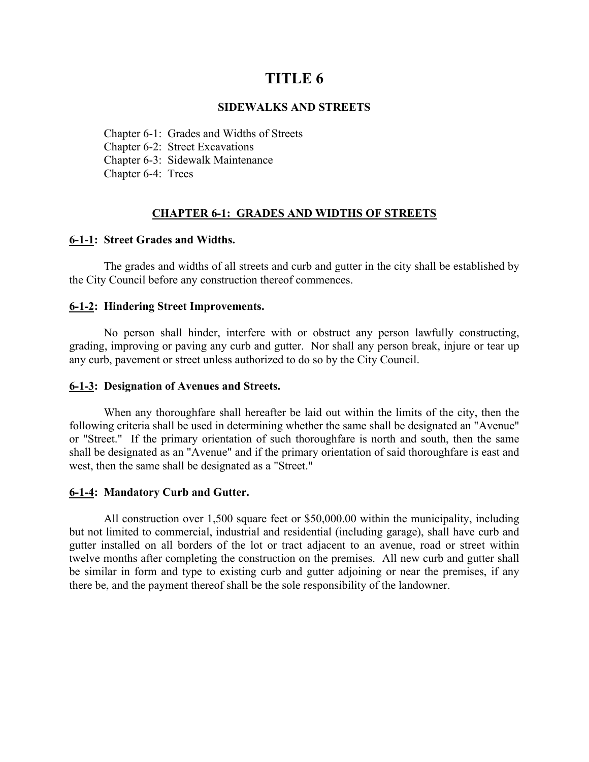# **TITLE 6**

#### **SIDEWALKS AND STREETS**

Chapter 6-1: Grades and Widths of Streets

Chapter 6-2: Street Excavations

Chapter 6-3: Sidewalk Maintenance

Chapter 6-4: Trees

## **CHAPTER 6-1: GRADES AND WIDTHS OF STREETS**

#### **6-1-1: Street Grades and Widths.**

The grades and widths of all streets and curb and gutter in the city shall be established by the City Council before any construction thereof commences.

#### **6-1-2: Hindering Street Improvements.**

No person shall hinder, interfere with or obstruct any person lawfully constructing, grading, improving or paving any curb and gutter. Nor shall any person break, injure or tear up any curb, pavement or street unless authorized to do so by the City Council.

#### **6-1-3: Designation of Avenues and Streets.**

When any thoroughfare shall hereafter be laid out within the limits of the city, then the following criteria shall be used in determining whether the same shall be designated an "Avenue" or "Street." If the primary orientation of such thoroughfare is north and south, then the same shall be designated as an "Avenue" and if the primary orientation of said thoroughfare is east and west, then the same shall be designated as a "Street."

#### **6-1-4: Mandatory Curb and Gutter.**

All construction over 1,500 square feet or \$50,000.00 within the municipality, including but not limited to commercial, industrial and residential (including garage), shall have curb and gutter installed on all borders of the lot or tract adjacent to an avenue, road or street within twelve months after completing the construction on the premises. All new curb and gutter shall be similar in form and type to existing curb and gutter adjoining or near the premises, if any there be, and the payment thereof shall be the sole responsibility of the landowner.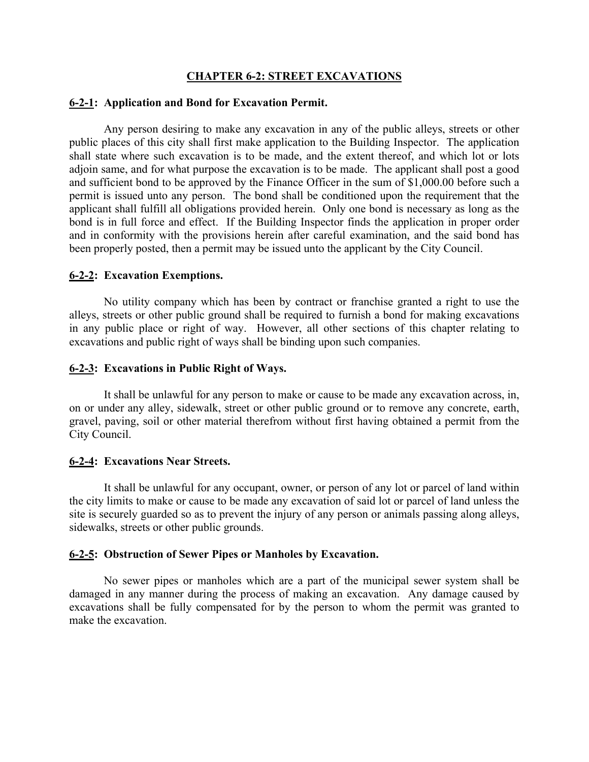## **CHAPTER 6-2: STREET EXCAVATIONS**

## **6-2-1: Application and Bond for Excavation Permit.**

Any person desiring to make any excavation in any of the public alleys, streets or other public places of this city shall first make application to the Building Inspector. The application shall state where such excavation is to be made, and the extent thereof, and which lot or lots adjoin same, and for what purpose the excavation is to be made. The applicant shall post a good and sufficient bond to be approved by the Finance Officer in the sum of \$1,000.00 before such a permit is issued unto any person. The bond shall be conditioned upon the requirement that the applicant shall fulfill all obligations provided herein. Only one bond is necessary as long as the bond is in full force and effect. If the Building Inspector finds the application in proper order and in conformity with the provisions herein after careful examination, and the said bond has been properly posted, then a permit may be issued unto the applicant by the City Council.

## **6-2-2: Excavation Exemptions.**

No utility company which has been by contract or franchise granted a right to use the alleys, streets or other public ground shall be required to furnish a bond for making excavations in any public place or right of way. However, all other sections of this chapter relating to excavations and public right of ways shall be binding upon such companies.

## **6-2-3: Excavations in Public Right of Ways.**

It shall be unlawful for any person to make or cause to be made any excavation across, in, on or under any alley, sidewalk, street or other public ground or to remove any concrete, earth, gravel, paving, soil or other material therefrom without first having obtained a permit from the City Council.

#### **6-2-4: Excavations Near Streets.**

It shall be unlawful for any occupant, owner, or person of any lot or parcel of land within the city limits to make or cause to be made any excavation of said lot or parcel of land unless the site is securely guarded so as to prevent the injury of any person or animals passing along alleys, sidewalks, streets or other public grounds.

#### **6-2-5: Obstruction of Sewer Pipes or Manholes by Excavation.**

No sewer pipes or manholes which are a part of the municipal sewer system shall be damaged in any manner during the process of making an excavation. Any damage caused by excavations shall be fully compensated for by the person to whom the permit was granted to make the excavation.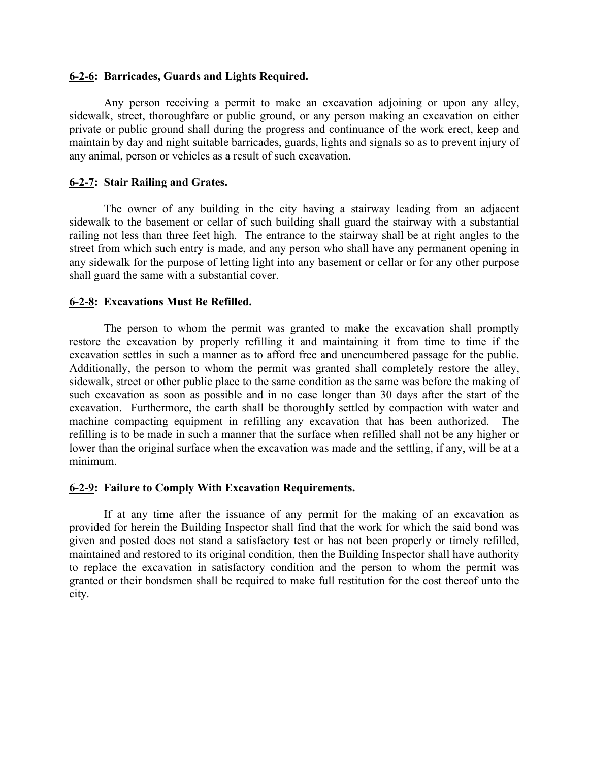#### **6-2-6: Barricades, Guards and Lights Required.**

Any person receiving a permit to make an excavation adjoining or upon any alley, sidewalk, street, thoroughfare or public ground, or any person making an excavation on either private or public ground shall during the progress and continuance of the work erect, keep and maintain by day and night suitable barricades, guards, lights and signals so as to prevent injury of any animal, person or vehicles as a result of such excavation.

#### **6-2-7: Stair Railing and Grates.**

The owner of any building in the city having a stairway leading from an adjacent sidewalk to the basement or cellar of such building shall guard the stairway with a substantial railing not less than three feet high. The entrance to the stairway shall be at right angles to the street from which such entry is made, and any person who shall have any permanent opening in any sidewalk for the purpose of letting light into any basement or cellar or for any other purpose shall guard the same with a substantial cover.

#### **6-2-8: Excavations Must Be Refilled.**

The person to whom the permit was granted to make the excavation shall promptly restore the excavation by properly refilling it and maintaining it from time to time if the excavation settles in such a manner as to afford free and unencumbered passage for the public. Additionally, the person to whom the permit was granted shall completely restore the alley, sidewalk, street or other public place to the same condition as the same was before the making of such excavation as soon as possible and in no case longer than 30 days after the start of the excavation. Furthermore, the earth shall be thoroughly settled by compaction with water and machine compacting equipment in refilling any excavation that has been authorized. The refilling is to be made in such a manner that the surface when refilled shall not be any higher or lower than the original surface when the excavation was made and the settling, if any, will be at a minimum.

#### **6-2-9: Failure to Comply With Excavation Requirements.**

If at any time after the issuance of any permit for the making of an excavation as provided for herein the Building Inspector shall find that the work for which the said bond was given and posted does not stand a satisfactory test or has not been properly or timely refilled, maintained and restored to its original condition, then the Building Inspector shall have authority to replace the excavation in satisfactory condition and the person to whom the permit was granted or their bondsmen shall be required to make full restitution for the cost thereof unto the city.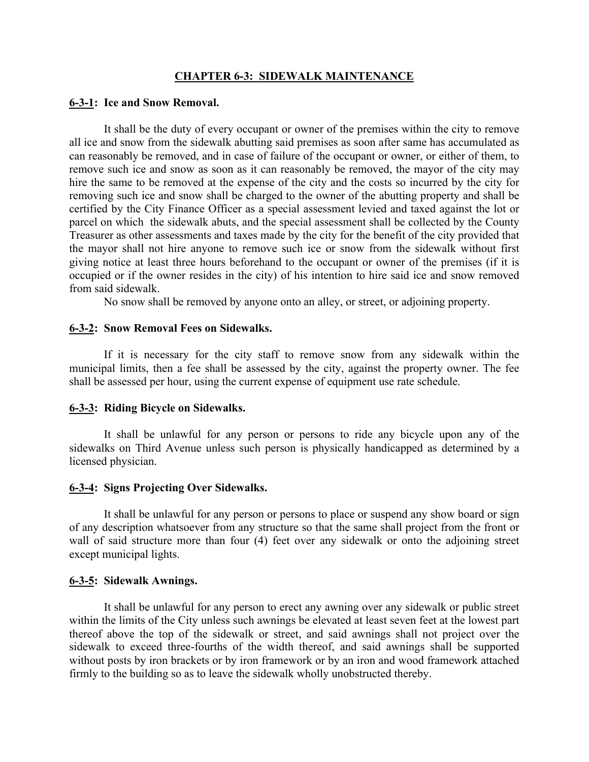#### **CHAPTER 6-3: SIDEWALK MAINTENANCE**

#### **6-3-1: Ice and Snow Removal.**

It shall be the duty of every occupant or owner of the premises within the city to remove all ice and snow from the sidewalk abutting said premises as soon after same has accumulated as can reasonably be removed, and in case of failure of the occupant or owner, or either of them, to remove such ice and snow as soon as it can reasonably be removed, the mayor of the city may hire the same to be removed at the expense of the city and the costs so incurred by the city for removing such ice and snow shall be charged to the owner of the abutting property and shall be certified by the City Finance Officer as a special assessment levied and taxed against the lot or parcel on which the sidewalk abuts, and the special assessment shall be collected by the County Treasurer as other assessments and taxes made by the city for the benefit of the city provided that the mayor shall not hire anyone to remove such ice or snow from the sidewalk without first giving notice at least three hours beforehand to the occupant or owner of the premises (if it is occupied or if the owner resides in the city) of his intention to hire said ice and snow removed from said sidewalk.

No snow shall be removed by anyone onto an alley, or street, or adjoining property.

## **6-3-2: Snow Removal Fees on Sidewalks.**

If it is necessary for the city staff to remove snow from any sidewalk within the municipal limits, then a fee shall be assessed by the city, against the property owner. The fee shall be assessed per hour, using the current expense of equipment use rate schedule.

## **6-3-3: Riding Bicycle on Sidewalks.**

It shall be unlawful for any person or persons to ride any bicycle upon any of the sidewalks on Third Avenue unless such person is physically handicapped as determined by a licensed physician.

#### **6-3-4: Signs Projecting Over Sidewalks.**

It shall be unlawful for any person or persons to place or suspend any show board or sign of any description whatsoever from any structure so that the same shall project from the front or wall of said structure more than four (4) feet over any sidewalk or onto the adjoining street except municipal lights.

## **6-3-5: Sidewalk Awnings.**

It shall be unlawful for any person to erect any awning over any sidewalk or public street within the limits of the City unless such awnings be elevated at least seven feet at the lowest part thereof above the top of the sidewalk or street, and said awnings shall not project over the sidewalk to exceed three-fourths of the width thereof, and said awnings shall be supported without posts by iron brackets or by iron framework or by an iron and wood framework attached firmly to the building so as to leave the sidewalk wholly unobstructed thereby.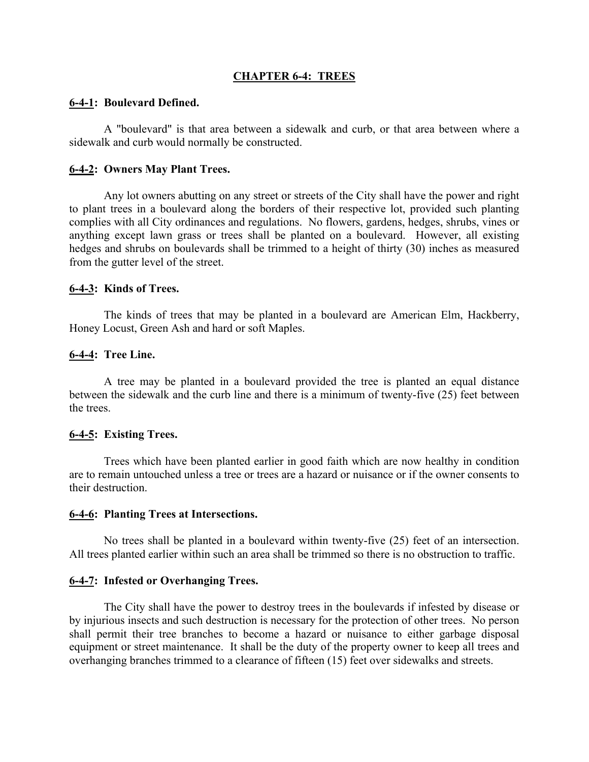#### **CHAPTER 6-4: TREES**

#### **6-4-1: Boulevard Defined.**

A "boulevard" is that area between a sidewalk and curb, or that area between where a sidewalk and curb would normally be constructed.

#### **6-4-2: Owners May Plant Trees.**

Any lot owners abutting on any street or streets of the City shall have the power and right to plant trees in a boulevard along the borders of their respective lot, provided such planting complies with all City ordinances and regulations. No flowers, gardens, hedges, shrubs, vines or anything except lawn grass or trees shall be planted on a boulevard. However, all existing hedges and shrubs on boulevards shall be trimmed to a height of thirty (30) inches as measured from the gutter level of the street.

#### **6-4-3: Kinds of Trees.**

The kinds of trees that may be planted in a boulevard are American Elm, Hackberry, Honey Locust, Green Ash and hard or soft Maples.

## **6-4-4: Tree Line.**

A tree may be planted in a boulevard provided the tree is planted an equal distance between the sidewalk and the curb line and there is a minimum of twenty-five (25) feet between the trees.

## **6-4-5: Existing Trees.**

Trees which have been planted earlier in good faith which are now healthy in condition are to remain untouched unless a tree or trees are a hazard or nuisance or if the owner consents to their destruction.

#### **6-4-6: Planting Trees at Intersections.**

No trees shall be planted in a boulevard within twenty-five (25) feet of an intersection. All trees planted earlier within such an area shall be trimmed so there is no obstruction to traffic.

#### **6-4-7: Infested or Overhanging Trees.**

The City shall have the power to destroy trees in the boulevards if infested by disease or by injurious insects and such destruction is necessary for the protection of other trees. No person shall permit their tree branches to become a hazard or nuisance to either garbage disposal equipment or street maintenance. It shall be the duty of the property owner to keep all trees and overhanging branches trimmed to a clearance of fifteen (15) feet over sidewalks and streets.